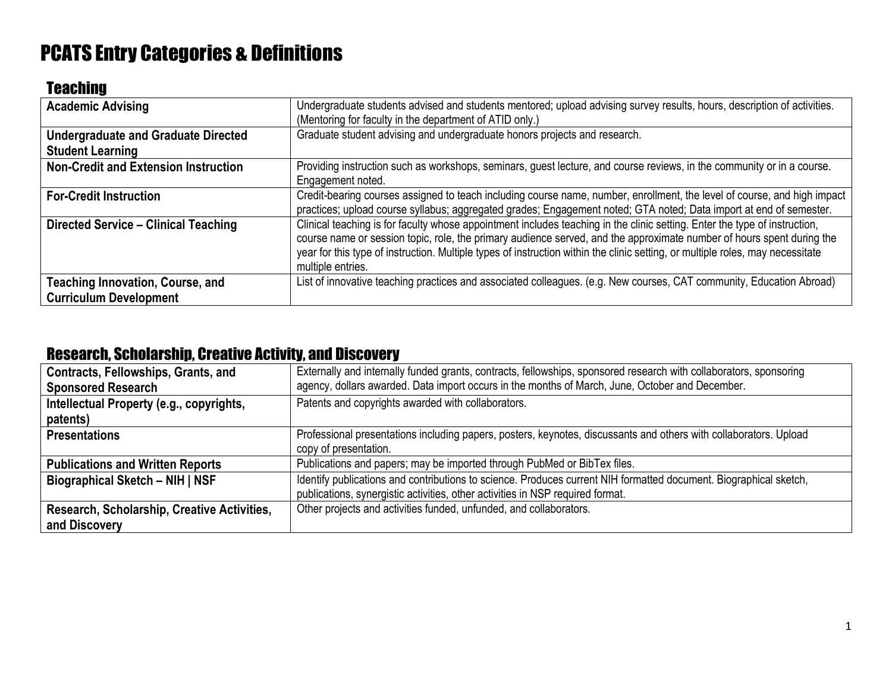# PCATS Entry Categories & Definitions

### **Teaching**

| <b>Academic Advising</b>                                                 | Undergraduate students advised and students mentored; upload advising survey results, hours, description of activities.<br>(Mentoring for faculty in the department of ATID only.)                                                                                                                                                                                                                         |
|--------------------------------------------------------------------------|------------------------------------------------------------------------------------------------------------------------------------------------------------------------------------------------------------------------------------------------------------------------------------------------------------------------------------------------------------------------------------------------------------|
| <b>Undergraduate and Graduate Directed</b><br><b>Student Learning</b>    | Graduate student advising and undergraduate honors projects and research.                                                                                                                                                                                                                                                                                                                                  |
| <b>Non-Credit and Extension Instruction</b>                              | Providing instruction such as workshops, seminars, guest lecture, and course reviews, in the community or in a course.<br>Engagement noted.                                                                                                                                                                                                                                                                |
| <b>For-Credit Instruction</b>                                            | Credit-bearing courses assigned to teach including course name, number, enrollment, the level of course, and high impact<br>practices; upload course syllabus; aggregated grades; Engagement noted; GTA noted; Data import at end of semester.                                                                                                                                                             |
| Directed Service - Clinical Teaching                                     | Clinical teaching is for faculty whose appointment includes teaching in the clinic setting. Enter the type of instruction,<br>course name or session topic, role, the primary audience served, and the approximate number of hours spent during the<br>year for this type of instruction. Multiple types of instruction within the clinic setting, or multiple roles, may necessitate<br>multiple entries. |
| <b>Teaching Innovation, Course, and</b><br><b>Curriculum Development</b> | List of innovative teaching practices and associated colleagues. (e.g. New courses, CAT community, Education Abroad)                                                                                                                                                                                                                                                                                       |

#### Research, Scholarship, Creative Activity, and Discovery

| Contracts, Fellowships, Grants, and         | Externally and internally funded grants, contracts, fellowships, sponsored research with collaborators, sponsoring |
|---------------------------------------------|--------------------------------------------------------------------------------------------------------------------|
| <b>Sponsored Research</b>                   | agency, dollars awarded. Data import occurs in the months of March, June, October and December.                    |
| Intellectual Property (e.g., copyrights,    | Patents and copyrights awarded with collaborators.                                                                 |
| patents)                                    |                                                                                                                    |
| <b>Presentations</b>                        | Professional presentations including papers, posters, keynotes, discussants and others with collaborators. Upload  |
|                                             | copy of presentation.                                                                                              |
| <b>Publications and Written Reports</b>     | Publications and papers; may be imported through PubMed or BibTex files.                                           |
| <b>Biographical Sketch - NIH   NSF</b>      | Identify publications and contributions to science. Produces current NIH formatted document. Biographical sketch,  |
|                                             | publications, synergistic activities, other activities in NSP required format.                                     |
| Research, Scholarship, Creative Activities, | Other projects and activities funded, unfunded, and collaborators.                                                 |
| and Discovery                               |                                                                                                                    |